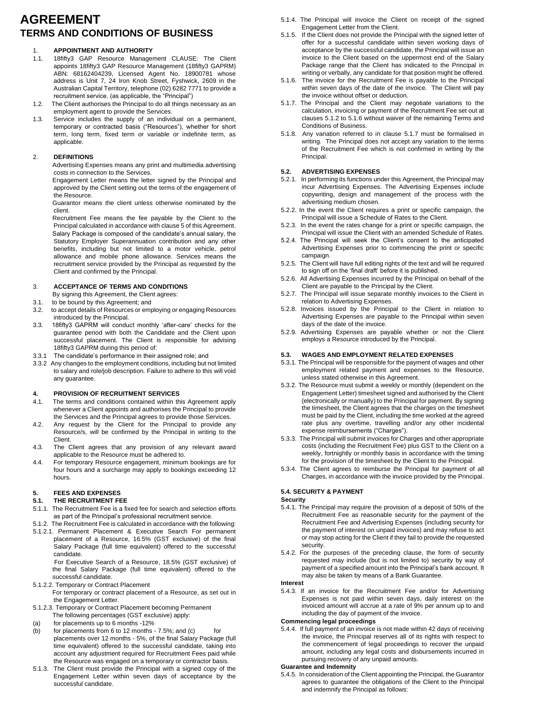## **AGREEMENT TERMS AND CONDITIONS OF BUSINESS**

## 1. **APPOINTMENT AND AUTHORITY**

- 1.1. 18fifty3 GAP Resource Management CLAUSE: The Client appoints 18fifty3 GAP Resource Management (18fifty3 GAPRM) ABN: 68162404239, Licensed Agent No. 18900781 whose address is Unit 7, 24 Iron Knob Street, Fyshwick, 2609 in the Australian Capital Territory, telephone (02) 6282 7771 to provide a recruitment service. (as applicable, the "Principal")
- 1.2. The Client authorises the Principal to do all things necessary as an employment agent to provide the Services.
- 1.3. Service includes the supply of an individual on a permanent, temporary or contracted basis ("Resources"), whether for short term, long term, fixed term or variable or indefinite term, as applicable.

### 2. **DEFINITIONS**

Advertising Expenses means any print and multimedia advertising costs in connection to the Services.

Engagement Letter means the letter signed by the Principal and approved by the Client setting out the terms of the engagement of the Resource.

Guarantor means the client unless otherwise nominated by the client.

Recruitment Fee means the fee payable by the Client to the Principal calculated in accordance with clause 5 of this Agreement. Salary Package is composed of the candidate's annual salary, the Statutory Employer Superannuation contribution and any other benefits, including but not limited to a motor vehicle, petrol allowance and mobile phone allowance. Services means the recruitment service provided by the Principal as requested by the Client and confirmed by the Principal.

## 3. **ACCEPTANCE OF TERMS AND CONDITIONS**

- By signing this Agreement, the Client agrees:
- 3.1. to be bound by this Agreement; and
- 3.2. to accept details of Resources or employing or engaging Resources introduced by the Principal.
- 3.3. 18fifty3 GAPRM will conduct monthly 'after-care' checks for the guarantee period with both the Candidate and the Client upon successful placement. The Client is responsible for advising 18fifty3 GAPRM during this period of:
- 3.3.1 The candidate's performance in their assigned role; and
- 3.3.2 Any changes to the employment conditions, including but not limited to salary and role/job description. Failure to adhere to this will void any guarantee

#### **4. PROVISION OF RECRUITMENT SERVICES**

- 4.1. The terms and conditions contained within this Agreement apply whenever a Client appoints and authorises the Principal to provide the Services and the Principal agrees to provide those Services.
- 4.2. Any request by the Client for the Principal to provide any Resource/s, will be confirmed by the Principal in writing to the Client.
- 4.3. The Client agrees that any provision of any relevant award applicable to the Resource must be adhered to.
- 4.4. For temporary Resource engagement, minimum bookings are for four hours and a surcharge may apply to bookings exceeding 12 hours.

## **5. FEES AND EXPENSES**

#### **5.1. THE RECRUITMENT FEE**

- 5.1.1. The Recruitment Fee is a fixed fee for search and selection efforts as part of the Principal's professional recruitment service.
- 5.1.2. The Recruitment Fee is calculated in accordance with the following:
- 5.1.2.1. Permanent Placement & Executive Search For permanent placement of a Resource, 16.5% (GST exclusive) of the final Salary Package (full time equivalent) offered to the successful candidate.

For Executive Search of a Resource, 18.5% (GST exclusive) of the final Salary Package (full time equivalent) offered to the successful candidate.

- 5.1.2.2. Temporary or Contract Placement
	- For temporary or contract placement of a Resource, as set out in the Engagement Letter.
- 5.1.2.3. Temporary or Contract Placement becoming Permanent The following percentages (GST exclusive) apply:
- (a) for placements up to 6 months -12%
- (b) for placements from  $6$  to  $12$  months  $7.5\%$ ; and  $(c)$  for placements over 12 months - 5%, of the final Salary Package (full time equivalent) offered to the successful candidate, taking into account any adjustment required for Recruitment Fees paid while the Resource was engaged on a temporary or contractor basis.
- 5.1.3. The Client must provide the Principal with a signed copy of the Engagement Letter within seven days of acceptance by the successful candidate.
- 5.1.4. The Principal will invoice the Client on receipt of the signed Engagement Letter from the Client.
- 5.1.5. If the Client does not provide the Principal with the signed letter of offer for a successful candidate within seven working days of acceptance by the successful candidate, the Principal will issue an invoice to the Client based on the uppermost end of the Salary Package range that the Client has indicated to the Principal in writing or verbally, any candidate for that position might be offered.
- 5.1.6. The invoice for the Recruitment Fee is payable to the Principal within seven days of the date of the invoice. The Client will pay the invoice without offset or deduction.
- 5.1.7. The Principal and the Client may negotiate variations to the calculation, invoicing or payment of the Recruitment Fee set out at clauses 5.1.2 to 5.1.6 without waiver of the remaining Terms and Conditions of Business.
- 5.1.8. Any variation referred to in clause 5.1.7 must be formalised in writing. The Principal does not accept any variation to the terms of the Recruitment Fee which is not confirmed in writing by the Principal.

## **5.2. ADVERTISING EXPENSES**

- 5.2.1. In performing its functions under this Agreement, the Principal may incur Advertising Expenses. The Advertising Expenses include copywriting, design and management of the process with the advertising medium chosen.
- 5.2.2. In the event the Client requires a print or specific campaign, the Principal will issue a Schedule of Rates to the Client.
- 5.2.3. In the event the rates change for a print or specific campaign, the Principal will issue the Client with an amended Schedule of Rates.
- 5.2.4. The Principal will seek the Client's consent to the anticipated Advertising Expenses prior to commencing the print or specific campaign.
- 5.2.5. The Client will have full editing rights of the text and will be required to sign off on the 'final draft' before it is published.
- 5.2.6. All Advertising Expenses incurred by the Principal on behalf of the Client are payable to the Principal by the Client.
- 5.2.7. The Principal will issue separate monthly invoices to the Client in relation to Advertising Expenses.
- 5.2.8. Invoices issued by the Principal to the Client in relation to Advertising Expenses are payable to the Principal within seven days of the date of the invoice.
- 5.2.9. Advertising Expenses are payable whether or not the Client employs a Resource introduced by the Principal.

#### **5.3. WAGES AND EMPLOYMENT RELATED EXPENSES**

- 5.3.1. The Principal will be responsible for the payment of wages and other employment related payment and expenses to the Resource, unless stated otherwise in this Agreement.
- 5.3.2. The Resource must submit a weekly or monthly (dependent on the Engagement Letter) timesheet signed and authorised by the Client (electronically or manually) to the Principal for payment. By signing the timesheet, the Client agrees that the charges on the timesheet must be paid by the Client, including the time worked at the agreed rate plus any overtime, travelling and/or any other incidental expense reimbursements ("Charges").
- 5.3.3. The Principal will submit invoices for Charges and other appropriate costs (including the Recruitment Fee) plus GST to the Client on a weekly, fortnightly or monthly basis in accordance with the timing for the provision of the timesheet by the Client to the Principal.
- 5.3.4. The Client agrees to reimburse the Principal for payment of all Charges, in accordance with the invoice provided by the Principal.

## **5.4. SECURITY & PAYMENT**

#### **Security**

- 5.4.1. The Principal may require the provision of a deposit of 50% of the Recruitment Fee as reasonable security for the payment of the Recruitment Fee and Advertising Expenses (including security for the payment of interest on unpaid invoices) and may refuse to act or may stop acting for the Client if they fail to provide the requested security.
- 5.4.2. For the purposes of the preceding clause, the form of security requested may include (but is not limited to) security by way of payment of a specified amount into the Principal's bank account. It may also be taken by means of a Bank Guarantee.

**Interest** 

5.4.3. If an invoice for the Recruitment Fee and/or for Advertising Expenses is not paid within seven days, daily interest on the invoiced amount will accrue at a rate of 9% per annum up to and including the day of payment of the invoice.

#### **Commencing legal proceedings**

5.4.4. If full payment of an invoice is not made within 42 days of receiving the invoice, the Principal reserves all of its rights with respect to the commencement of legal proceedings to recover the unpaid amount, including any legal costs and disbursements incurred in pursuing recovery of any unpaid amounts.

#### **Guarantee and Indemnity**

5.4.5. In consideration of the Client appointing the Principal, the Guarantor agrees to guarantee the obligations of the Client to the Principal and indemnify the Principal as follows: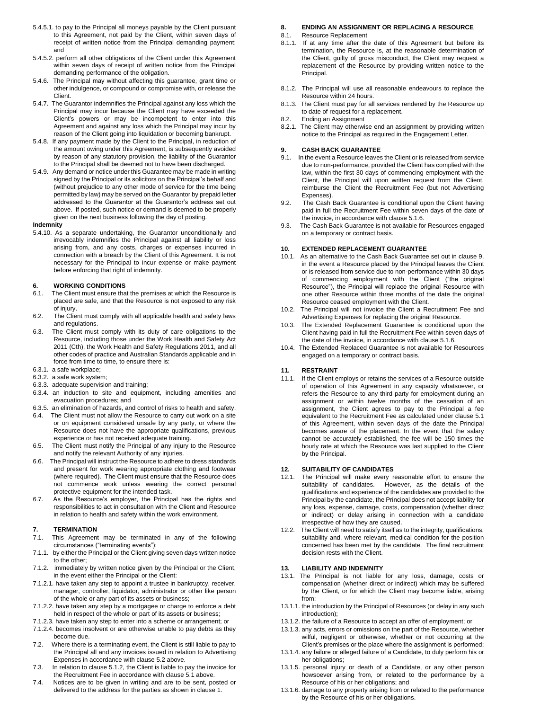- 5.4.5.1. to pay to the Principal all moneys payable by the Client pursuant to this Agreement, not paid by the Client, within seven days of receipt of written notice from the Principal demanding payment; and
- 5.4.5.2. perform all other obligations of the Client under this Agreement within seven days of receipt of written notice from the Principal demanding performance of the obligation.
- 5.4.6. The Principal may without affecting this guarantee, grant time or other indulgence, or compound or compromise with, or release the Client.
- 5.4.7. The Guarantor indemnifies the Principal against any loss which the Principal may incur because the Client may have exceeded the Client's powers or may be incompetent to enter into this Agreement and against any loss which the Principal may incur by reason of the Client going into liquidation or becoming bankrupt.
- 5.4.8. If any payment made by the Client to the Principal, in reduction of the amount owing under this Agreement, is subsequently avoided by reason of any statutory provision, the liability of the Guarantor to the Principal shall be deemed not to have been discharged.
- 5.4.9. Any demand or notice under this Guarantee may be made in writing signed by the Principal or its solicitors on the Principal's behalf and (without prejudice to any other mode of service for the time being permitted by law) may be served on the Guarantor by prepaid letter addressed to the Guarantor at the Guarantor's address set out above. If posted, such notice or demand is deemed to be properly given on the next business following the day of posting.

#### **Indemnity**

5.4.10. As a separate undertaking, the Guarantor unconditionally and irrevocably indemnifies the Principal against all liability or loss arising from, and any costs, charges or expenses incurred in connection with a breach by the Client of this Agreement. It is not necessary for the Principal to incur expense or make payment before enforcing that right of indemnity.

#### **6. WORKING CONDITIONS**

- 6.1. The Client must ensure that the premises at which the Resource is placed are safe, and that the Resource is not exposed to any risk of injury.
- 6.2. The Client must comply with all applicable health and safety laws and regulations.
- 6.3. The Client must comply with its duty of care obligations to the Resource, including those under the Work Health and Safety Act 2011 (Cth), the Work Health and Safety Regulations 2011, and all other codes of practice and Australian Standards applicable and in force from time to time, to ensure there is:
- 6.3.1. a safe workplace;
- 6.3.2. a safe work system;
- 6.3.3. adequate supervision and training;
- 6.3.4. an induction to site and equipment, including amenities and evacuation procedures; and
- 6.3.5. an elimination of hazards, and control of risks to health and safety.
- 6.4. The Client must not allow the Resource to carry out work on a site or on equipment considered unsafe by any party, or where the Resource does not have the appropriate qualifications, previous experience or has not received adequate training.
- 6.5. The Client must notify the Principal of any injury to the Resource and notify the relevant Authority of any injuries.
- 6.6. The Principal will instruct the Resource to adhere to dress standards and present for work wearing appropriate clothing and footwear (where required). The Client must ensure that the Resource does not commence work unless wearing the correct personal protective equipment for the intended task.
- 6.7. As the Resource's employer, the Principal has the rights and responsibilities to act in consultation with the Client and Resource in relation to health and safety within the work environment.

#### **7. TERMINATION**

- 7.1. This Agreement may be terminated in any of the following circumstances ("terminating events"):
- 7.1.1. by either the Principal or the Client giving seven days written notice to the other;
- 7.1.2. immediately by written notice given by the Principal or the Client, in the event either the Principal or the Client:
- 7.1.2.1. have taken any step to appoint a trustee in bankruptcy, receiver, manager, controller, liquidator, administrator or other like person of the whole or any part of its assets or business;
- 7.1.2.2. have taken any step by a mortgagee or charge to enforce a debt held in respect of the whole or part of its assets or business;
- 7.1.2.3. have taken any step to enter into a scheme or arrangement; or
- 7.1.2.4. becomes insolvent or are otherwise unable to pay debts as they become due.
- 7.2. Where there is a terminating event, the Client is still liable to pay to the Principal all and any invoices issued in relation to Advertising Expenses in accordance with clause 5.2 above.
- 7.3. In relation to clause 5.1.2, the Client is liable to pay the invoice for the Recruitment Fee in accordance with clause 5.1 above.
- 7.4. Notices are to be given in writing and are to be sent, posted or delivered to the address for the parties as shown in clause 1.

#### **8. ENDING AN ASSIGNMENT OR REPLACING A RESOURCE**

- 8.1. Resource Replacement
- 8.1.1. If at any time after the date of this Agreement but before its termination, the Resource is, at the reasonable determination of the Client, guilty of gross misconduct, the Client may request a replacement of the Resource by providing written notice to the Principal.
- 8.1.2. The Principal will use all reasonable endeavours to replace the Resource within 24 hours.
- 8.1.3. The Client must pay for all services rendered by the Resource up to date of request for a replacement.
- 8.2. Ending an Assignment
- 8.2.1. The Client may otherwise end an assignment by providing written notice to the Principal as required in the Engagement Letter.

#### **9. CASH BACK GUARANTEE**

- 9.1. In the event a Resource leaves the Client or is released from service due to non-performance, provided the Client has complied with the law, within the first 30 days of commencing employment with the Client, the Principal will upon written request from the Client, reimburse the Client the Recruitment Fee (but not Advertising Expenses).
- 9.2. The Cash Back Guarantee is conditional upon the Client having paid in full the Recruitment Fee within seven days of the date of the invoice, in accordance with clause 5.1.6.
- 9.3. The Cash Back Guarantee is not available for Resources engaged on a temporary or contract basis.

#### **10. EXTENDED REPLACEMENT GUARANTEE**

- 10.1. As an alternative to the Cash Back Guarantee set out in clause 9, in the event a Resource placed by the Principal leaves the Client or is released from service due to non-performance within 30 days of commencing employment with the Client ("the original Resource"), the Principal will replace the original Resource with one other Resource within three months of the date the original Resource ceased employment with the Client.
- 10.2. The Principal will not invoice the Client a Recruitment Fee and Advertising Expenses for replacing the original Resource.
- 10.3. The Extended Replacement Guarantee is conditional upon the Client having paid in full the Recruitment Fee within seven days of the date of the invoice, in accordance with clause 5.1.6.
- 10.4. The Extended Replaced Guarantee is not available for Resources engaged on a temporary or contract basis.

#### **11. RESTRAINT**

11.1. If the Client employs or retains the services of a Resource outside of operation of this Agreement in any capacity whatsoever, or refers the Resource to any third party for employment during an assignment or within twelve months of the cessation of an assignment, the Client agrees to pay to the Principal a fee equivalent to the Recruitment Fee as calculated under clause 5.1 of this Agreement, within seven days of the date the Principal becomes aware of the placement. In the event that the salary cannot be accurately established, the fee will be 150 times the hourly rate at which the Resource was last supplied to the Client by the Principal.

#### **12. SUITABILITY OF CANDIDATES**

- 12.1. The Principal will make every reasonable effort to ensure the suitability of candidates. However, as the details of the qualifications and experience of the candidates are provided to the Principal by the candidate, the Principal does not accept liability for any loss, expense, damage, costs, compensation (whether direct or indirect) or delay arising in connection with a candidate irrespective of how they are caused.
- 12.2. The Client will need to satisfy itself as to the integrity, qualifications, suitability and, where relevant, medical condition for the position concerned has been met by the candidate. The final recruitment decision rests with the Client.

#### **13. LIABILITY AND INDEMNITY**

- 13.1. The Principal is not liable for any loss, damage, costs or compensation (whether direct or indirect) which may be suffered by the Client, or for which the Client may become liable, arising from:
- 13.1.1. the introduction by the Principal of Resources (or delay in any such introduction);
- 13.1.2. the failure of a Resource to accept an offer of employment; or
- 13.1.3. any acts, errors or omissions on the part of the Resource, whether wilful, negligent or otherwise, whether or not occurring at the Client's premises or the place where the assignment is performed;
- 13.1.4. any failure or alleged failure of a Candidate, to duly perform his or her obligations;
- 13.1.5. personal injury or death of a Candidate, or any other person howsoever arising from, or related to the performance by a Resource of his or her obligations; and
- 13.1.6. damage to any property arising from or related to the performance by the Resource of his or her obligations.